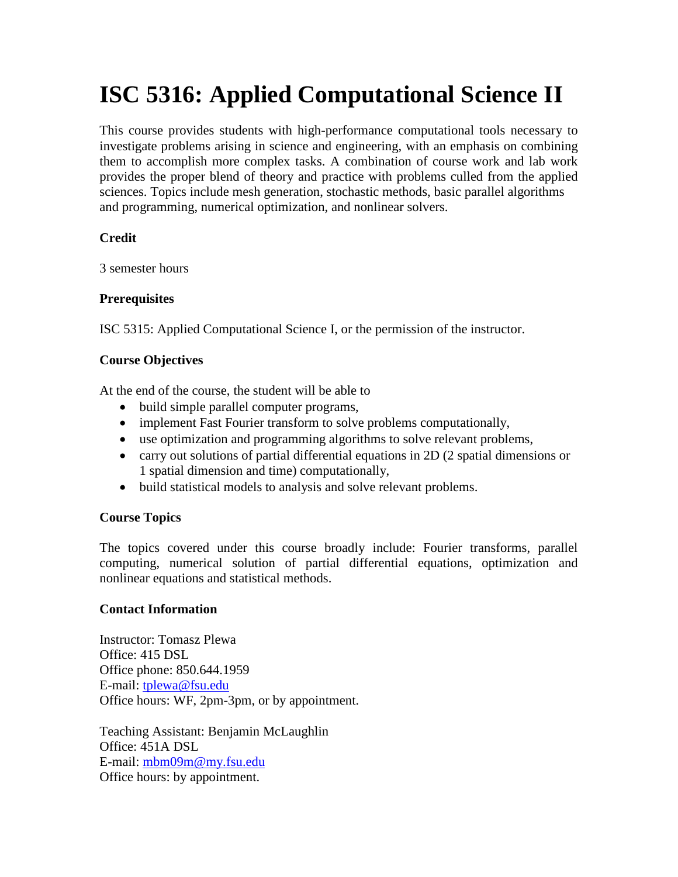# **ISC 5316: Applied Computational Science II**

This course provides students with high-performance computational tools necessary to investigate problems arising in science and engineering, with an emphasis on combining them to accomplish more complex tasks. A combination of course work and lab work provides the proper blend of theory and practice with problems culled from the applied sciences. Topics include mesh generation, stochastic methods, basic parallel algorithms and programming, numerical optimization, and nonlinear solvers.

# **Credit**

3 semester hours

# **Prerequisites**

ISC 5315: Applied Computational Science I, or the permission of the instructor.

# **Course Objectives**

At the end of the course, the student will be able to

- build simple parallel computer programs,
- implement Fast Fourier transform to solve problems computationally,
- use optimization and programming algorithms to solve relevant problems,
- carry out solutions of partial differential equations in 2D (2 spatial dimensions or 1 spatial dimension and time) computationally,
- build statistical models to analysis and solve relevant problems.

# **Course Topics**

The topics covered under this course broadly include: Fourier transforms, parallel computing, numerical solution of partial differential equations, optimization and nonlinear equations and statistical methods.

# **Contact Information**

Instructor: Tomasz Plewa Office: 415 DSL Office phone: 850.644.1959 E-mail: [tplewa@fsu.edu](mailto:tplewa@fsu.edu) Office hours: WF, 2pm-3pm, or by appointment.

Teaching Assistant: Benjamin McLaughlin Office: 451A DSL E-mail: [mbm09m@my.fsu.edu](mailto:mbm09m@my.fsu.edu) Office hours: by appointment.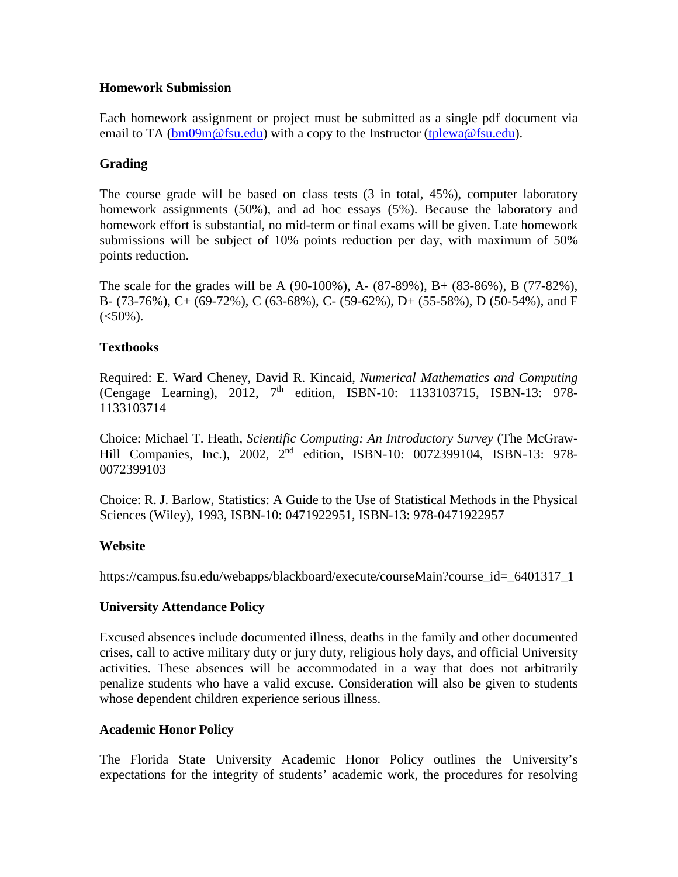#### **Homework Submission**

Each homework assignment or project must be submitted as a single pdf document via email to TA [\(bm09m@fsu.edu\)](mailto:bm09m@fsu.edu) with a copy to the Instructor [\(tplewa@fsu.edu\)](mailto:tplewa@fsu.edu).

# **Grading**

The course grade will be based on class tests (3 in total, 45%), computer laboratory homework assignments (50%), and ad hoc essays (5%). Because the laboratory and homework effort is substantial, no mid-term or final exams will be given. Late homework submissions will be subject of 10% points reduction per day, with maximum of 50% points reduction.

The scale for the grades will be A (90-100%), A- (87-89%), B+ (83-86%), B (77-82%), B- (73-76%), C+ (69-72%), C (63-68%), C- (59-62%), D+ (55-58%), D (50-54%), and F  $(<50\%)$ .

# **Textbooks**

Required: E. Ward Cheney, David R. Kincaid, *Numerical Mathematics and Computing* (Cengage Learning), 2012,  $7<sup>th</sup>$  edition, ISBN-10: 1133103715, ISBN-13: 978-1133103714

Choice: Michael T. Heath, *Scientific Computing: An Introductory Survey* (The McGraw-Hill Companies, Inc.), 2002, 2<sup>nd</sup> edition, ISBN-10: 0072399104, ISBN-13: 978-0072399103

Choice: R. J. Barlow, Statistics: A Guide to the Use of Statistical Methods in the Physical Sciences (Wiley), 1993, ISBN-10: 0471922951, ISBN-13: 978-0471922957

# **Website**

https://campus.fsu.edu/webapps/blackboard/execute/courseMain?course\_id=\_6401317\_1

# **University Attendance Policy**

Excused absences include documented illness, deaths in the family and other documented crises, call to active military duty or jury duty, religious holy days, and official University activities. These absences will be accommodated in a way that does not arbitrarily penalize students who have a valid excuse. Consideration will also be given to students whose dependent children experience serious illness.

# **Academic Honor Policy**

The Florida State University Academic Honor Policy outlines the University's expectations for the integrity of students' academic work, the procedures for resolving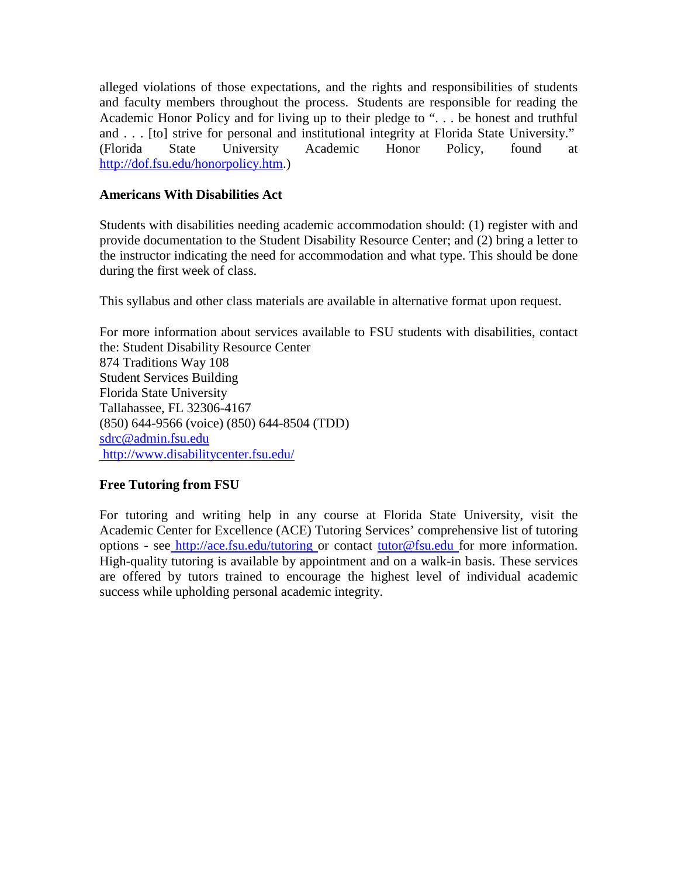alleged violations of those expectations, and the rights and responsibilities of students and faculty members throughout the process. Students are responsible for reading the Academic Honor Policy and for living up to their pledge to ". . . be honest and truthful and . . . [to] strive for personal and institutional integrity at Florida State University." (Florida State University Academic Honor Policy, found at [http://dof.fsu.edu/honorpolicy.htm.](http://dof.fsu.edu/honorpolicy.htm))

#### **Americans With Disabilities Act**

Students with disabilities needing academic accommodation should: (1) register with and provide documentation to the Student Disability Resource Center; and (2) bring a letter to the instructor indicating the need for accommodation and what type. This should be done during the first week of class.

This syllabus and other class materials are available in alternative format upon request.

For more information about services available to FSU students with disabilities, contact the: Student Disability Resource Center 874 Traditions Way 108 Student Services Building Florida State University Tallahassee, FL 32306-4167 (850) 644-9566 (voice) (850) 644-8504 (TDD) [sdrc@admin.fsu.edu](mailto:sdrc@admin.fsu.edu) <http://www.disabilitycenter.fsu.edu/>

# **Free Tutoring from FSU**

For tutoring and writing help in any course at Florida State University, visit the Academic Center for Excellence (ACE) Tutoring Services' comprehensive list of tutoring options - see [http://ace.fsu.edu/tutoring o](http://ace.fsu.edu/tutoring)r contact [tutor@fsu.edu f](mailto:tutor@fsu.edu)or more information. High-quality tutoring is available by appointment and on a walk-in basis. These services are offered by tutors trained to encourage the highest level of individual academic success while upholding personal academic integrity.